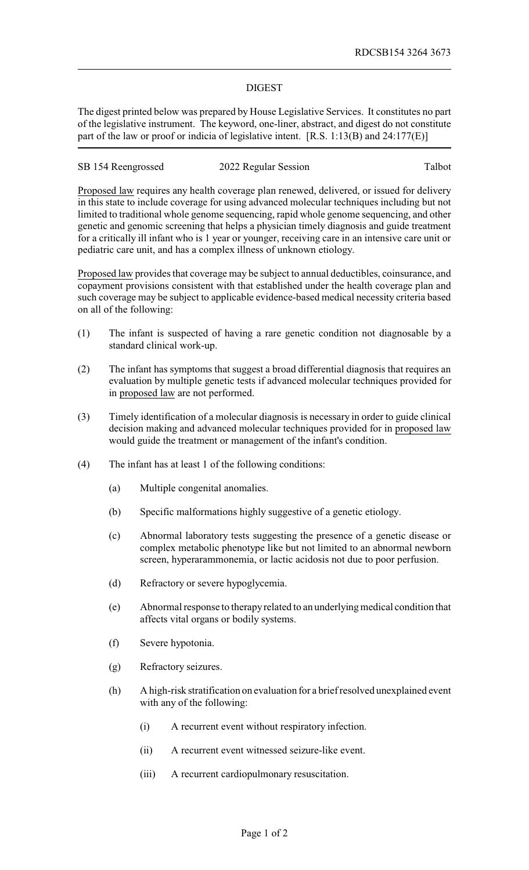## DIGEST

The digest printed below was prepared by House Legislative Services. It constitutes no part of the legislative instrument. The keyword, one-liner, abstract, and digest do not constitute part of the law or proof or indicia of legislative intent. [R.S. 1:13(B) and 24:177(E)]

| SB 154 Reengrossed | 2022 Regular Session | Talbot |
|--------------------|----------------------|--------|
|--------------------|----------------------|--------|

Proposed law requires any health coverage plan renewed, delivered, or issued for delivery in this state to include coverage for using advanced molecular techniques including but not limited to traditional whole genome sequencing, rapid whole genome sequencing, and other genetic and genomic screening that helps a physician timely diagnosis and guide treatment for a critically ill infant who is 1 year or younger, receiving care in an intensive care unit or pediatric care unit, and has a complex illness of unknown etiology.

Proposed law provides that coverage may be subject to annual deductibles, coinsurance, and copayment provisions consistent with that established under the health coverage plan and such coverage may be subject to applicable evidence-based medical necessity criteria based on all of the following:

- (1) The infant is suspected of having a rare genetic condition not diagnosable by a standard clinical work-up.
- (2) The infant has symptoms that suggest a broad differential diagnosis that requires an evaluation by multiple genetic tests if advanced molecular techniques provided for in proposed law are not performed.
- (3) Timely identification of a molecular diagnosis is necessary in order to guide clinical decision making and advanced molecular techniques provided for in proposed law would guide the treatment or management of the infant's condition.
- (4) The infant has at least 1 of the following conditions:
	- (a) Multiple congenital anomalies.
	- (b) Specific malformations highly suggestive of a genetic etiology.
	- (c) Abnormal laboratory tests suggesting the presence of a genetic disease or complex metabolic phenotype like but not limited to an abnormal newborn screen, hyperarammonemia, or lactic acidosis not due to poor perfusion.
	- (d) Refractory or severe hypoglycemia.
	- (e) Abnormal response to therapyrelated to an underlyingmedical condition that affects vital organs or bodily systems.
	- (f) Severe hypotonia.
	- (g) Refractory seizures.
	- (h) A high-risk stratification on evaluation for a brief resolved unexplained event with any of the following:
		- (i) A recurrent event without respiratory infection.
		- (ii) A recurrent event witnessed seizure-like event.
		- (iii) A recurrent cardiopulmonary resuscitation.